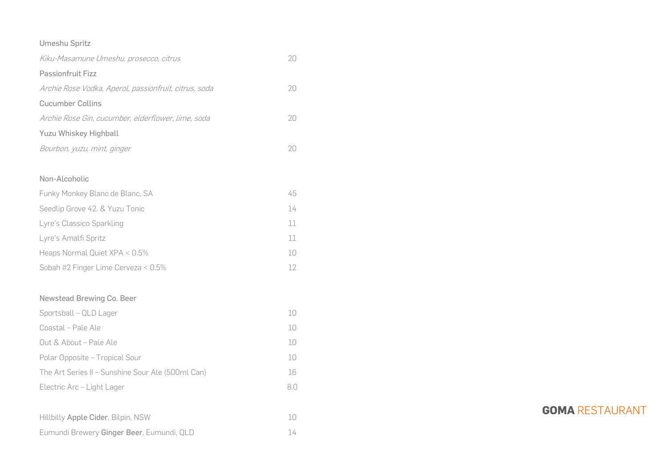## Umeshu Spritz

| Kiku-Masamune Umeshu, prosecco, citrus                | 20  |
|-------------------------------------------------------|-----|
| Passionfruit Fizz                                     |     |
| Archie Rose Vodka, Aperol, passionfruit, citrus, soda | 20  |
| <b>Cucumber Collins</b>                               |     |
| Archie Rose Gin, cucumber, elderflower, lime, soda    | 20  |
| Yuzu Whiskey Highball                                 |     |
| Bourbon, yuzu, mint, ginger                           | 20  |
| Non-Alcoholic                                         |     |
| Funky Monkey Blanc de Blanc, SA                       | 45  |
| Seedlip Grove 42. & Yuzu Tonic                        | 14  |
| Lyre's Classico Sparkling                             | 11  |
| Lyre's Amalfi Spritz                                  | 11  |
| Heaps Normal Quiet XPA < 0.5%                         | 10  |
| Sobah #2 Finger Lime Cerveza < 0.5%                   | 12  |
| Newstead Brewing Co. Beer                             |     |
| Sportsball - QLD Lager                                | 10  |
| Coastal - Pale Ale                                    | 10  |
| Out & About - Pale Ale                                | 10  |
| Polar Opposite - Tropical Sour                        | 10  |
| The Art Series II - Sunshine Sour Ale (500ml Can)     | 16  |
| Electric Arc - Light Lager                            | 8.0 |
| Hillbilly Apple Cider, Bilpin, NSW                    | 10  |
| Eumundi Brewery Ginger Beer, Eumundi, QLD             | 14  |

**GOMA** RESTAURANT